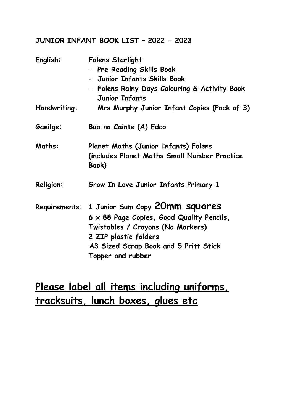### **JUNIOR INFANT BOOK LIST – 2022 - 2023**

| English:         | <b>Folens Starlight</b>                               |
|------------------|-------------------------------------------------------|
|                  | - Pre Reading Skills Book                             |
|                  | - Junior Infants Skills Book                          |
|                  | - Folens Rainy Days Colouring & Activity Book         |
|                  | <b>Junior Infants</b>                                 |
| Handwriting:     | Mrs Murphy Junior Infant Copies (Pack of 3)           |
| Gaeilge:         | Bua na Cainte (A) Edco                                |
| <b>Maths:</b>    | Planet Maths (Junior Infants) Folens                  |
|                  | (includes Planet Maths Small Number Practice<br>Book) |
| <b>Religion:</b> | Grow In Love Junior Infants Primary 1                 |
|                  | Requirements: 1 Junior Sum Copy 20mm squares          |
|                  | 6 x 88 Page Copies, Good Quality Pencils,             |
|                  | Twistables / Crayons (No Markers)                     |
|                  | 2 ZIP plastic folders                                 |
|                  | A3 Sized Scrap Book and 5 Pritt Stick                 |
|                  | Topper and rubber                                     |

### **Please label all items including uniforms, tracksuits, lunch boxes, glues etc**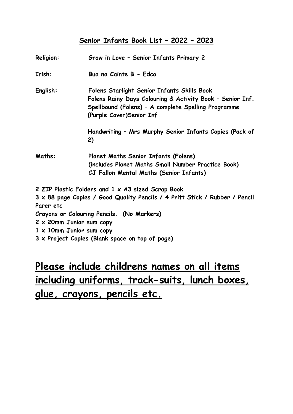### **Senior Infants Book List – 2022 – 2023**

| Religion:                                                                         | Grow in Love - Senior Infants Primary 2                                                                                                                                                                                           |
|-----------------------------------------------------------------------------------|-----------------------------------------------------------------------------------------------------------------------------------------------------------------------------------------------------------------------------------|
| Irish:                                                                            | Bua na Cainte B - Edco                                                                                                                                                                                                            |
| English:                                                                          | Folens Starlight Senior Infants Skills Book<br>Folens Rainy Days Colouring & Activity Book - Senior Inf.<br>Spellbound (Folens) - A complete Spelling Programme<br>(Purple Cover)Senior Inf                                       |
|                                                                                   | Handwriting - Mrs Murphy Senior Infants Copies (Pack of<br>2)                                                                                                                                                                     |
| Maths:                                                                            | Planet Maths Senior Infants (Folens)<br>(includes Planet Maths Small Number Practice Book)<br>CJ Fallon Mental Maths (Senior Infants)                                                                                             |
| Parer etc<br>$2 \times 20$ mm Junior sum copy<br>$1 \times 10$ mm Junior sum copy | 2 ZIP Plastic Folders and 1 x A3 sized Scrap Book<br>3 x 88 page Copies / Good Quality Pencils / 4 Pritt Stick / Rubber / Pencil<br>Crayons or Colouring Pencils. (No Markers)<br>3 x Project Copies (Blank space on top of page) |

# **Please include childrens names on all items including uniforms, track-suits, lunch boxes, glue, crayons, pencils etc.**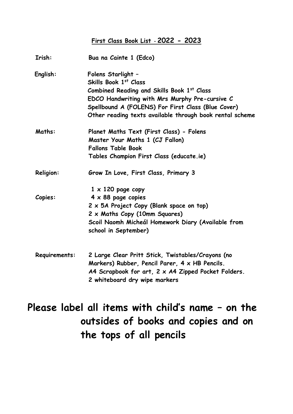#### **First Class Book List - 2022 - 2023**

| Irish:        | Bua na Cainte 1 (Edco)                                                                                                                                                                                                                                        |
|---------------|---------------------------------------------------------------------------------------------------------------------------------------------------------------------------------------------------------------------------------------------------------------|
| English:      | Folens Starlight -<br>Skills Book 1st Class<br>Combined Reading and Skills Book 1st Class<br>EDCO Handwriting with Mrs Murphy Pre-cursive C<br>Spellbound A (FOLENS) For First Class (Blue Cover)<br>Other reading texts available through book rental scheme |
| <b>Maths:</b> | Planet Maths Text (First Class) - Folens<br>Master Your Maths 1 (CJ Fallon)<br><b>Fallons Table Book</b><br>Tables Champion First Class (educate.ie)                                                                                                          |
| Religion:     | Grow In Love, First Class, Primary 3                                                                                                                                                                                                                          |
| Copies:       | $1 \times 120$ page copy<br>$4 \times 88$ page copies<br>2 x 5A Project Copy (Blank space on top)<br>2 x Maths Copy (10mm Squares)<br>Scoil Naomh Micheál Homework Diary (Available from<br>school in September)                                              |
| Requirements: | 2 Large Clear Pritt Stick, Twistables/Crayons (no<br>Markers) Rubber, Pencil Parer, 4 x HB Pencils.<br>A4 Scrapbook for art, 2 x A4 Zipped Pocket Folders.                                                                                                    |

# **Please label all items with child's name – on the outsides of books and copies and on the tops of all pencils**

**2 whiteboard dry wipe markers**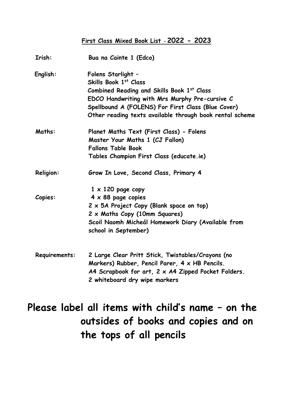#### **First Class Mixed Book List - 2022 - 2023**

| Irish:        | Bua na Cainte 1 (Edco)                                                                                                                                                                                                                                        |
|---------------|---------------------------------------------------------------------------------------------------------------------------------------------------------------------------------------------------------------------------------------------------------------|
| English:      | Folens Starlight -<br>Skills Book 1st Class<br>Combined Reading and Skills Book 1st Class<br>EDCO Handwriting with Mrs Murphy Pre-cursive C<br>Spellbound A (FOLENS) For First Class (Blue Cover)<br>Other reading texts available through book rental scheme |
| Maths:        | Planet Maths Text (First Class) - Folens<br>Master Your Maths 1 (CJ Fallon)<br><b>Fallons Table Book</b><br>Tables Champion First Class (educate.ie)                                                                                                          |
| Religion:     | Grow In Love, Second Class, Primary 4                                                                                                                                                                                                                         |
| Copies:       | $1 \times 120$ page copy<br>$4 \times 88$ page copies<br>2 x 5A Project Copy (Blank space on top)<br>$2 \times$ Maths Copy (10mm Squares)<br>Scoil Naomh Micheál Homework Diary (Available from<br>school in September)                                       |
| Requirements: | 2 Large Clear Pritt Stick, Twistables/Crayons (no<br>Markers) Rubber, Pencil Parer, 4 x HB Pencils.<br>A4 Scrapbook for art, 2 x A4 Zipped Pocket Folders.                                                                                                    |

# **Please label all items with child's name – on the outsides of books and copies and on the tops of all pencils**

**2 whiteboard dry wipe markers**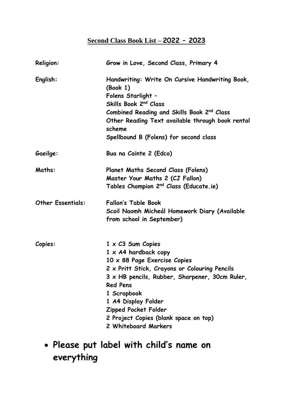### **Second Class Book List – 2022 – 2023**

| Religion:                | Grow in Love, Second Class, Primary 4                                                                                                                                                                                                                                                                                                        |
|--------------------------|----------------------------------------------------------------------------------------------------------------------------------------------------------------------------------------------------------------------------------------------------------------------------------------------------------------------------------------------|
| English:                 | Handwriting: Write On Cursive Handwriting Book,<br>(Book 1)<br>Folens Starlight -<br>Skills Book 2 <sup>nd</sup> Class<br>Combined Reading and Skills Book 2 <sup>nd</sup> Class<br>Other Reading Text available through book rental<br>scheme<br>Spellbound B (Folens) for second class                                                     |
| Gaeilge:                 | Bua na Cainte 2 (Edco)                                                                                                                                                                                                                                                                                                                       |
| Maths:                   | Planet Maths Second Class (Folens)<br>Master Your Maths 2 (CJ Fallon)<br>Tables Champion 2 <sup>nd</sup> Class (Educate.ie)                                                                                                                                                                                                                  |
| <b>Other Essentials:</b> | <b>Fallon's Table Book</b><br>Scoil Naomh Micheál Homework Diary (Available<br>from school in September)                                                                                                                                                                                                                                     |
| Copies:                  | $1 \times C3$ Sum Copies<br>$1 \times A4$ hardback copy<br>10 x 88 Page Exercise Copies<br>2 x Pritt Stick, Crayons or Colouring Pencils<br>3 x HB pencils, Rubber, Sharpener, 30cm Ruler,<br><b>Red Pens</b><br>1 Scrapbook<br>1 A4 Display Folder<br>Zipped Pocket Folder<br>2 Project Copies (blank space on top)<br>2 Whiteboard Markers |

• **Please put label with child's name on everything**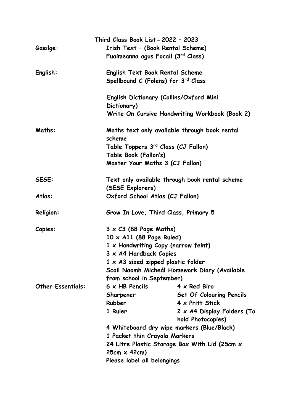|                          | Third Class Book List - 2022 - 2023            |                                                |
|--------------------------|------------------------------------------------|------------------------------------------------|
| Gaeilge:                 | Irish Text - (Book Rental Scheme)              |                                                |
|                          | Fuaimeanna agus Focail (3 <sup>rd</sup> Class) |                                                |
| English:                 | English Text Book Rental Scheme                |                                                |
|                          | Spellbound C (Folens) for $3^{rd}$ Class       |                                                |
|                          |                                                | English Dictionary (Collins/Oxford Mini        |
|                          | Dictionary)                                    |                                                |
|                          |                                                | Write On Cursive Handwriting Workbook (Book 2) |
| Maths:                   |                                                | Maths text only available through book rental  |
|                          | scheme                                         |                                                |
|                          | Table Toppers 3rd Class (CJ Fallon)            |                                                |
|                          | Table Book (Fallon's)                          |                                                |
|                          | Master Your Maths 3 (CJ Fallon)                |                                                |
| SESE:                    |                                                | Text only available through book rental scheme |
|                          | (SESE Explorers)                               |                                                |
| Atlas:                   | Oxford School Atlas (CJ Fallon)                |                                                |
| Religion:                | Grow In Love, Third Class, Primary 5           |                                                |
| Copies:                  | $3 \times C3$ (88 Page Maths)                  |                                                |
|                          | $10 \times A11$ (88 Page Ruled)                |                                                |
|                          | $1 \times$ Handwriting Copy (narrow feint)     |                                                |
|                          | 3 x A4 Hardback Copies                         |                                                |
|                          | $1 \times A3$ sized zipped plastic folder      |                                                |
|                          | Scoil Naomh Micheál Homework Diary (Available  |                                                |
|                          | from school in September)                      |                                                |
| <b>Other Essentials:</b> | $6 \times$ HB Pencils                          | $4 \times$ Red Biro                            |
|                          | Sharpener                                      | Set Of Colouring Pencils                       |
|                          | <b>Rubber</b>                                  | 4 x Pritt Stick                                |
|                          | 1 Ruler                                        | 2 x A4 Display Folders (To                     |
|                          |                                                | hold Photocopies)                              |
|                          |                                                | 4 Whiteboard dry wipe markers (Blue/Black)     |
|                          | 1 Packet thin Crayola Markers                  |                                                |
|                          |                                                | 24 Litre Plastic Storage Box With Lid (25cm x  |
|                          | $25cm \times 42cm$                             |                                                |
|                          | Please label all belongings                    |                                                |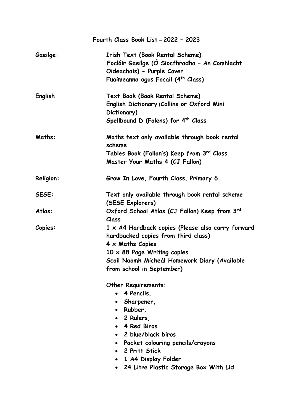|              | <u> Fourth Class Book List - 2022 - 2023</u>                                                                                                                                                                                            |
|--------------|-----------------------------------------------------------------------------------------------------------------------------------------------------------------------------------------------------------------------------------------|
| Gaeilge:     | Irish Text (Book Rental Scheme)<br>Foclóir Gaeilge (Ó Siocfhradha - An Comhlacht<br>Oideachais) - Purple Cover<br>Fuaimeanna agus Focail (4 <sup>th</sup> Class)                                                                        |
| English      | Text Book (Book Rental Scheme)<br>English Dictionary (Collins or Oxford Mini<br>Dictionary)<br>Spellbound D (Folens) for 4 <sup>th</sup> Class                                                                                          |
| Maths:       | Maths text only available through book rental<br>scheme<br>Tables Book (Fallon's) Keep from 3rd Class<br>Master Your Maths 4 (CJ Fallon)                                                                                                |
| Religion:    | Grow In Love, Fourth Class, Primary 6                                                                                                                                                                                                   |
| <b>SESE:</b> | Text only available through book rental scheme<br>(SESE Explorers)                                                                                                                                                                      |
| Atlas:       | Oxford School Atlas (CJ Fallon) Keep from 3rd<br>Class                                                                                                                                                                                  |
| Copies:      | 1 x A4 Hardback copies (Please also carry forward<br>hardbacked copies from third class)<br>$4 \times$ Maths Copies<br>$10 \times 88$ Page Writing copies<br>Scoil Naomh Micheál Homework Diary (Available<br>from school in September) |
|              | <b>Other Requirements:</b><br>4 Pencils,<br>$\bullet$<br>• Sharpener,<br>• Rubber,<br>• 2 Rulers,<br>• 4 Red Biros<br>• 2 blue/black biros<br>• Packet colouring pencils/crayons<br>2 Pritt Stick                                       |

- **1 A4 Display Folder**
- **24 Litre Plastic Storage Box With Lid**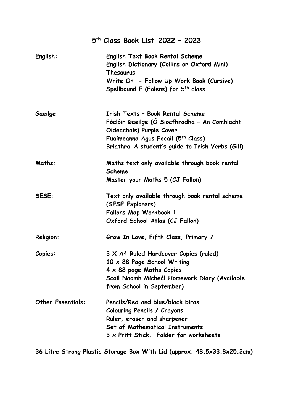#### **5 th Class Book List 2022 – 2023**

| English:                 | English Text Book Rental Scheme<br>English Dictionary (Collins or Oxford Mini)<br>Thesaurus<br>Write On - Follow Up Work Book (Cursive)<br>Spellbound E (Folens) for 5 <sup>th</sup> class                          |
|--------------------------|---------------------------------------------------------------------------------------------------------------------------------------------------------------------------------------------------------------------|
| Gaeilge:                 | Irish Texts - Book Rental Scheme<br>Fóclóir Gaeilge (Ó Siocfhradha - An Comhlacht<br>Oideachais) Purple Cover<br>Fuaimeanna Agus Focail (5 <sup>th</sup> Class)<br>Briathra-A student's guide to Irish Verbs (Gill) |
| Maths:                   | Maths text only available through book rental<br><b>Scheme</b><br>Master your Maths 5 (CJ Fallon)                                                                                                                   |
| SESE:                    | Text only available through book rental scheme<br>(SESE Explorers)<br>Fallons Map Workbook 1<br>Oxford School Atlas (CJ Fallon)                                                                                     |
| Religion:                | Grow In Love, Fifth Class, Primary 7                                                                                                                                                                                |
| Copies:                  | 3 X A4 Ruled Hardcover Copies (ruled)<br>$10 \times 88$ Page School Writing<br>$4 \times 88$ page Maths Copies<br>Scoil Naomh Micheál Homework Diary (Available<br>from School in September)                        |
| <b>Other Essentials:</b> | Pencils/Red and blue/black biros<br><b>Colouring Pencils / Crayons</b><br>Ruler, eraser and sharpener<br>Set of Mathematical Instruments<br>3 x Pritt Stick. Folder for worksheets                                  |

**36 Litre Strong Plastic Storage Box With Lid (approx. 48.5x33.8x25.2cm)**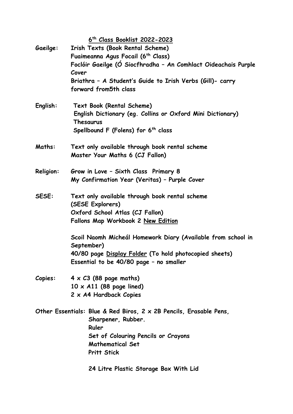**6 th Class Booklist 2022-2023**

| Gaeilge:  | Irish Texts (Book Rental Scheme)<br>Fuaimeanna Agus Focail (6 <sup>th</sup> Class)<br>Foclóir Gaeilge (Ó Siocfhradha - An Comhlact Oideachais Purple<br>Cover<br>Briathra - A Student's Guide to Irish Verbs (Gill)- carry<br>forward from5th class |
|-----------|-----------------------------------------------------------------------------------------------------------------------------------------------------------------------------------------------------------------------------------------------------|
| English:  | Text Book (Rental Scheme)<br>English Dictionary (eg. Collins or Oxford Mini Dictionary)<br>Thesaurus<br>Spellbound F (Folens) for 6 <sup>th</sup> class                                                                                             |
| Maths:    | Text only available through book rental scheme<br>Master Your Maths 6 (CJ Fallon)                                                                                                                                                                   |
| Religion: | Grow in Love - Sixth Class Primary 8<br>My Confirmation Year (Veritas) - Purple Cover                                                                                                                                                               |
| SESE:     | Text only available through book rental scheme<br>(SESE Explorers)<br>Oxford School Atlas (CJ Fallon)<br>Fallons Map Workbook 2 New Edition                                                                                                         |
|           | Scoil Naomh Micheál Homework Diary (Available from school in<br>September)<br>40/80 page Display Folder (To hold photocopied sheets)<br>Essential to be 40/80 page - no smaller                                                                     |
| Copies:   | $4 \times C3$ (88 page maths)<br>$10 \times A11$ (88 page lined)<br>2 x A4 Hardback Copies                                                                                                                                                          |
|           | Other Essentials: Blue & Red Biros, $2 \times 2B$ Pencils, Erasable Pens,<br>Sharpener, Rubber.<br>Ruler<br>Set of Colouring Pencils or Crayons<br><b>Mathematical Set</b><br><b>Pritt Stick</b><br>24 Litre Plastic Storage Box With Lid           |